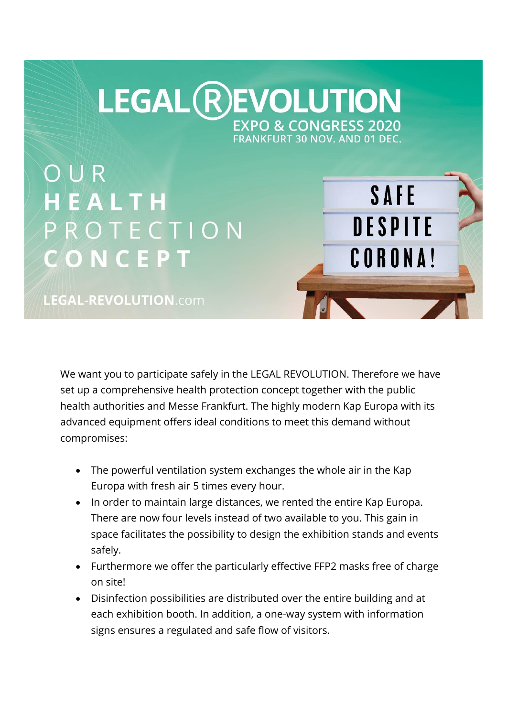## **LEGAL REVOLUTION EXPO & CONGRESS 2020**

FRANKFURT 30 NOV. AND 01 DEC.

SAFE

**DESPITE** 

**CORONA!** 

OUR HEALTH PROTECTION CONCEPT

LEGAL-REVOLUTION.com

We want you to participate safely in the LEGAL REVOLUTION. Therefore we have set up a comprehensive health protection concept together with the public health authorities and Messe Frankfurt. The highly modern Kap Europa with its advanced equipment offers ideal conditions to meet this demand without compromises:

- The powerful ventilation system exchanges the whole air in the Kap Europa with fresh air 5 times every hour.
- In order to maintain large distances, we rented the entire Kap Europa. There are now four levels instead of two available to you. This gain in space facilitates the possibility to design the exhibition stands and events safely.
- Furthermore we offer the particularly effective FFP2 masks free of charge on site!
- Disinfection possibilities are distributed over the entire building and at each exhibition booth. In addition, a one-way system with information signs ensures a regulated and safe flow of visitors.